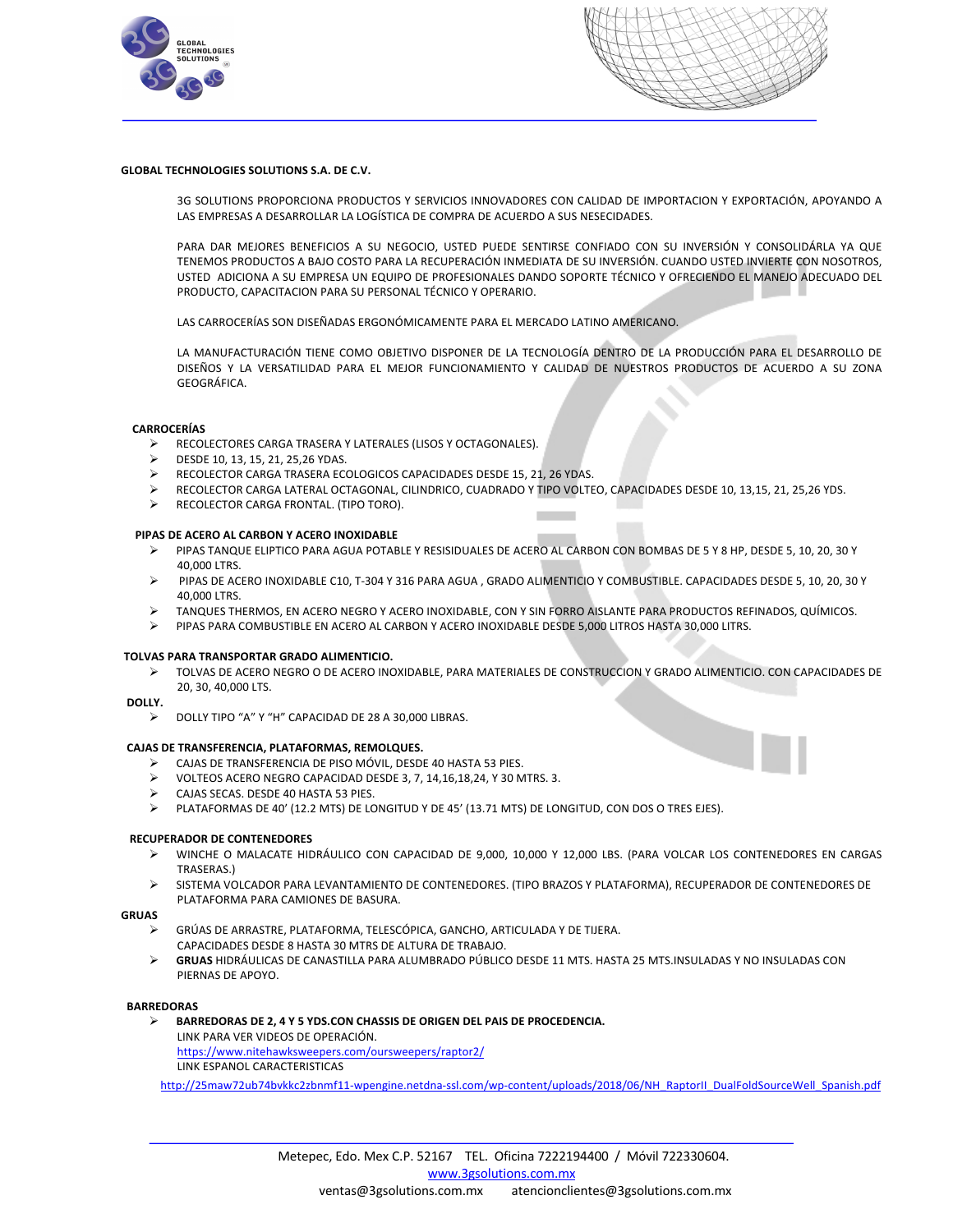



# **GLOBAL TECHNOLOGIES SOLUTIONS S.A. DE C.V.**

3G SOLUTIONS PROPORCIONA PRODUCTOS Y SERVICIOS INNOVADORES CON CALIDAD DE IMPORTACION Y EXPORTACIÓN, APOYANDO A LAS EMPRESAS A DESARROLLAR LA LOGÍSTICA DE COMPRA DE ACUERDO A SUS NESECIDADES.

PARA DAR MEJORES BENEFICIOS A SU NEGOCIO, USTED PUEDE SENTIRSE CONFIADO CON SU INVERSIÓN Y CONSOLIDÁRLA YA QUE TENEMOS PRODUCTOS A BAJO COSTO PARA LA RECUPERACIÓN INMEDIATA DE SU INVERSIÓN. CUANDO USTED INVIERTE CON NOSOTROS, USTED ADICIONA A SU EMPRESA UN EQUIPO DE PROFESIONALES DANDO SOPORTE TÉCNICO Y OFRECIENDO EL MANEJO ADECUADO DEL PRODUCTO, CAPACITACION PARA SU PERSONAL TÉCNICO Y OPERARIO.

LAS CARROCERÍAS SON DISEÑADAS ERGONÓMICAMENTE PARA EL MERCADO LATINO AMERICANO.

LA MANUFACTURACIÓN TIENE COMO OBJETIVO DISPONER DE LA TECNOLOGÍA DENTRO DE LA PRODUCCIÓN PARA EL DESARROLLO DE DISEÑOS Y LA VERSATILIDAD PARA EL MEJOR FUNCIONAMIENTO Y CALIDAD DE NUESTROS PRODUCTOS DE ACUERDO A SU ZONA GEOGRÁFICA.

**College** 

# **CARROCERÍAS**

- Ø RECOLECTORES CARGA TRASERA Y LATERALES (LISOS Y OCTAGONALES).
- Ø DESDE 10, 13, 15, 21, 25,26 YDAS.
- Ø RECOLECTOR CARGA TRASERA ECOLOGICOS CAPACIDADES DESDE 15, 21, 26 YDAS.
- RECOLECTOR CARGA LATERAL OCTAGONAL, CILINDRICO, CUADRADO Y TIPO VOLTEO, CAPACIDADES DESDE 10, 13,15, 21, 25,26 YDS.
- RECOLECTOR CARGA FRONTAL. (TIPO TORO).

## **PIPAS DE ACERO AL CARBON Y ACERO INOXIDABLE**

- Ø PIPAS TANQUE ELIPTICO PARA AGUA POTABLE Y RESISIDUALES DE ACERO AL CARBON CON BOMBAS DE 5 Y 8 HP, DESDE 5, 10, 20, 30 Y 40,000 LTRS.
- Ø PIPAS DE ACERO INOXIDABLE C10, T-304 Y 316 PARA AGUA , GRADO ALIMENTICIO Y COMBUSTIBLE. CAPACIDADES DESDE 5, 10, 20, 30 Y 40,000 LTRS.
- TANQUES THERMOS, EN ACERO NEGRO Y ACERO INOXIDABLE, CON Y SIN FORRO AISLANTE PARA PRODUCTOS REFINADOS, QUÍMICOS.
- Ø PIPAS PARA COMBUSTIBLE EN ACERO AL CARBON Y ACERO INOXIDABLE DESDE 5,000 LITROS HASTA 30,000 LITRS.

## **TOLVAS PARA TRANSPORTAR GRADO ALIMENTICIO.**

Ø TOLVAS DE ACERO NEGRO O DE ACERO INOXIDABLE, PARA MATERIALES DE CONSTRUCCION Y GRADO ALIMENTICIO. CON CAPACIDADES DE 20, 30, 40,000 LTS.

## **DOLLY.**

Ø DOLLY TIPO "A" Y "H" CAPACIDAD DE 28 A 30,000 LIBRAS.

## **CAJAS DE TRANSFERENCIA, PLATAFORMAS, REMOLQUES.**

- Ø CAJAS DE TRANSFERENCIA DE PISO MÓVIL, DESDE 40 HASTA 53 PIES.
- VOLTEOS ACERO NEGRO CAPACIDAD DESDE 3, 7, 14,16,18,24, Y 30 MTRS. 3.
- Ø CAJAS SECAS. DESDE 40 HASTA 53 PIES.
- Ø PLATAFORMAS DE 40' (12.2 MTS) DE LONGITUD Y DE 45' (13.71 MTS) DE LONGITUD, CON DOS O TRES EJES).

## **RECUPERADOR DE CONTENEDORES**

- Ø WINCHE O MALACATE HIDRÁULICO CON CAPACIDAD DE 9,000, 10,000 Y 12,000 LBS. (PARA VOLCAR LOS CONTENEDORES EN CARGAS TRASERAS.)
- Ø SISTEMA VOLCADOR PARA LEVANTAMIENTO DE CONTENEDORES. (TIPO BRAZOS Y PLATAFORMA), RECUPERADOR DE CONTENEDORES DE PLATAFORMA PARA CAMIONES DE BASURA.

# **GRUAS**

- GRÚAS DE ARRASTRE, PLATAFORMA, TELESCÓPICA, GANCHO, ARTICULADA Y DE TIJERA. CAPACIDADES DESDE 8 HASTA 30 MTRS DE ALTURA DE TRABAJO.
- GRUAS HIDRÁULICAS DE CANASTILLA PARA ALUMBRADO PÚBLICO DESDE 11 MTS. HASTA 25 MTS.INSULADAS Y NO INSULADAS CON PIERNAS DE APOYO.

## **BARREDORAS**

- Ø **BARREDORAS DE 2, 4 Y 5 YDS.CON CHASSIS DE ORIGEN DEL PAIS DE PROCEDENCIA.**
	- LINK PARA VER VIDEOS DE OPERACIÓN. https://www.nitehawksweepers.com/oursweepers/raptor2/ LINK ESPANOL CARACTERISTICAS

http://25maw72ub74bvkkc2zbnmf11-wpengine.netdna-ssl.com/wp-content/uploads/2018/06/NH\_RaptorII\_DualFoldSourceWell\_Spanish.pdf